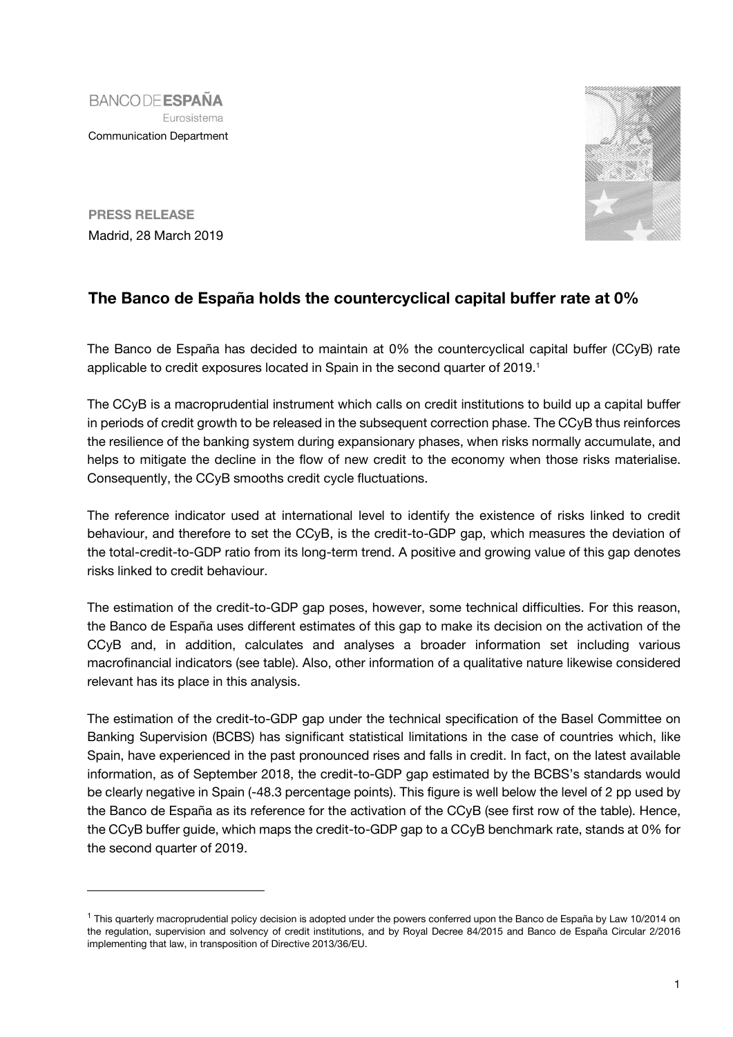**BANCODE ESPAÑA** Eurosistema Communication Department



**PRESS RELEASE** Madrid, 28 March 2019

j

## **The Banco de España holds the countercyclical capital buffer rate at 0%**

The Banco de España has decided to maintain at 0% the countercyclical capital buffer (CCyB) rate applicable to credit exposures located in Spain in the second quarter of 2019.<sup>1</sup>

The CCyB is a macroprudential instrument which calls on credit institutions to build up a capital buffer in periods of credit growth to be released in the subsequent correction phase. The CCyB thus reinforces the resilience of the banking system during expansionary phases, when risks normally accumulate, and helps to mitigate the decline in the flow of new credit to the economy when those risks materialise. Consequently, the CCyB smooths credit cycle fluctuations.

The reference indicator used at international level to identify the existence of risks linked to credit behaviour, and therefore to set the CCyB, is the credit-to-GDP gap, which measures the deviation of the total-credit-to-GDP ratio from its long-term trend. A positive and growing value of this gap denotes risks linked to credit behaviour.

The estimation of the credit-to-GDP gap poses, however, some technical difficulties. For this reason, the Banco de España uses different estimates of this gap to make its decision on the activation of the CCyB and, in addition, calculates and analyses a broader information set including various macrofinancial indicators (see table). Also, other information of a qualitative nature likewise considered relevant has its place in this analysis.

The estimation of the credit-to-GDP gap under the technical specification of the Basel Committee on Banking Supervision (BCBS) has significant statistical limitations in the case of countries which, like Spain, have experienced in the past pronounced rises and falls in credit. In fact, on the latest available information, as of September 2018, the credit-to-GDP gap estimated by the BCBS's standards would be clearly negative in Spain (-48.3 percentage points). This figure is well below the level of 2 pp used by the Banco de España as its reference for the activation of the CCyB (see first row of the table). Hence, the CCyB buffer guide, which maps the credit-to-GDP gap to a CCyB benchmark rate, stands at 0% for the second quarter of 2019.

<sup>&</sup>lt;sup>1</sup> This quarterly macroprudential policy decision is adopted under the powers conferred upon the Banco de España by Law 10/2014 on the regulation, supervision and solvency of credit institutions, and by Royal Decree 84/2015 and Banco de España Circular 2/2016 implementing that law, in transposition of Directive 2013/36/EU.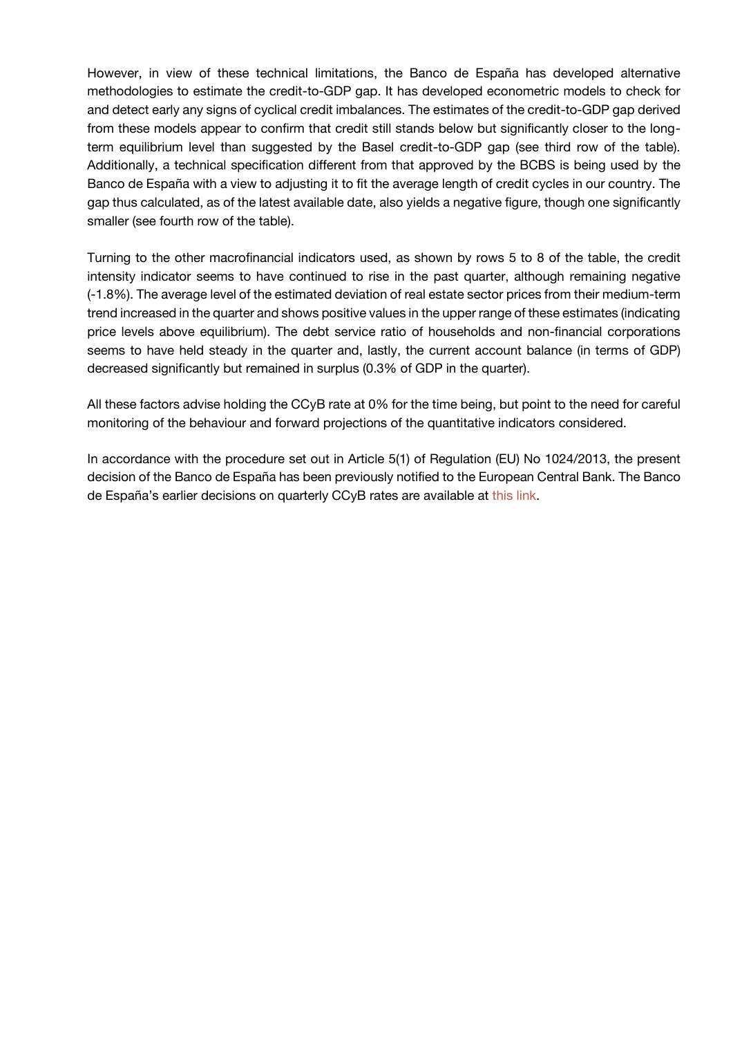However, in view of these technical limitations, the Banco de España has developed alternative methodologies to estimate the credit-to-GDP gap. It has developed econometric models to check for and detect early any signs of cyclical credit imbalances. The estimates of the credit-to-GDP gap derived from these models appear to confirm that credit still stands below but significantly closer to the longterm equilibrium level than suggested by the Basel credit-to-GDP gap (see third row of the table). Additionally, a technical specification different from that approved by the BCBS is being used by the Banco de España with a view to adjusting it to fit the average length of credit cycles in our country. The gap thus calculated, as of the latest available date, also yields a negative figure, though one significantly smaller (see fourth row of the table).

Turning to the other macrofinancial indicators used, as shown by rows 5 to 8 of the table, the credit intensity indicator seems to have continued to rise in the past quarter, although remaining negative (-1.8%). The average level of the estimated deviation of real estate sector prices from their medium-term trend increased in the quarter and shows positive values in the upper range of these estimates (indicating price levels above equilibrium). The debt service ratio of households and non-financial corporations seems to have held steady in the quarter and, lastly, the current account balance (in terms of GDP) decreased significantly but remained in surplus (0.3% of GDP in the quarter).

All these factors advise holding the CCyB rate at 0% for the time being, but point to the need for careful monitoring of the behaviour and forward projections of the quantitative indicators considered.

In accordance with the procedure set out in Article 5(1) of Regulation (EU) No 1024/2013, the present decision of the Banco de España has been previously notified to the European Central Bank. The Banco de España's earlier decisions on quarterly CCyB rates are available at [this link.](https://www.bde.es/bde/en/areas/estabilidad/politica-macropr/Fijacion_del_po_abd79f06544b261.html)